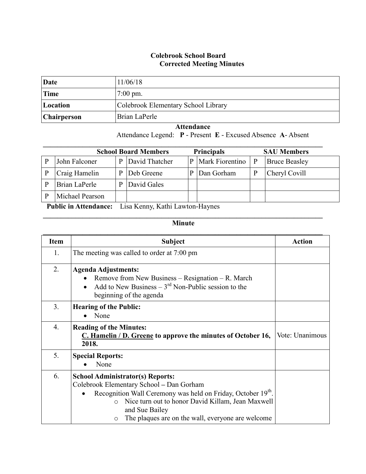## **Colebrook School Board Corrected Meeting Minutes**

| Date               | 11/06/18                            |
|--------------------|-------------------------------------|
| Time               | $7:00 \text{ pm}$ .                 |
| Location           | Colebrook Elementary School Library |
| <b>Chairperson</b> | Brian LaPerle                       |

 **Attendance** Attendance Legend: **P** - Present **E** - Excused Absence **A**- Absent

| <b>School Board Members</b><br><b>Principals</b>                                   |                 |   |                |   | <b>SAU Members</b> |              |                      |
|------------------------------------------------------------------------------------|-----------------|---|----------------|---|--------------------|--------------|----------------------|
|                                                                                    | John Falconer   | P | David Thatcher | P | Mark Fiorentino    | $\mathbf{P}$ | <b>Bruce Beasley</b> |
|                                                                                    | Craig Hamelin   | D | Deb Greene     |   | Dan Gorham         |              | Cheryl Covill        |
|                                                                                    | Brian LaPerle   |   | David Gales    |   |                    |              |                      |
|                                                                                    | Michael Pearson |   |                |   |                    |              |                      |
| T<br>$\mathbf{Y}$ $\mathbf{I}$ $\mathbf{Y}$ $\mathbf{I}$<br><b>DUCE</b><br>TT<br>. |                 |   |                |   |                    |              |                      |

 **Public in Attendance:** Lisa Kenny, Kathi Lawton-Haynes

## $\mathcal{L}_\mathcal{L} = \{ \mathcal{L}_\mathcal{L} = \{ \mathcal{L}_\mathcal{L} = \{ \mathcal{L}_\mathcal{L} = \{ \mathcal{L}_\mathcal{L} = \{ \mathcal{L}_\mathcal{L} = \{ \mathcal{L}_\mathcal{L} = \{ \mathcal{L}_\mathcal{L} = \{ \mathcal{L}_\mathcal{L} = \{ \mathcal{L}_\mathcal{L} = \{ \mathcal{L}_\mathcal{L} = \{ \mathcal{L}_\mathcal{L} = \{ \mathcal{L}_\mathcal{L} = \{ \mathcal{L}_\mathcal{L} = \{ \mathcal{L}_\mathcal{$ **Minute**

| <b>Item</b>      | <b>Subject</b>                                                                                                                                                                                                                                                                                       | <b>Action</b>   |
|------------------|------------------------------------------------------------------------------------------------------------------------------------------------------------------------------------------------------------------------------------------------------------------------------------------------------|-----------------|
| 1.               | The meeting was called to order at 7:00 pm                                                                                                                                                                                                                                                           |                 |
| $\overline{2}$ . | <b>Agenda Adjustments:</b><br>Remove from New Business - Resignation - R. March<br>$\bullet$<br>Add to New Business $-3^{\text{rd}}$ Non-Public session to the<br>$\bullet$<br>beginning of the agenda                                                                                               |                 |
| 3 <sub>1</sub>   | <b>Hearing of the Public:</b><br>None                                                                                                                                                                                                                                                                |                 |
| 4.               | <b>Reading of the Minutes:</b><br>C. Hamelin / D. Greene to approve the minutes of October 16,<br>2018.                                                                                                                                                                                              | Vote: Unanimous |
| 5.               | <b>Special Reports:</b><br>None                                                                                                                                                                                                                                                                      |                 |
| 6.               | <b>School Administrator(s) Reports:</b><br>Colebrook Elementary School - Dan Gorham<br>Recognition Wall Ceremony was held on Friday, October 19th.<br>Nice turn out to honor David Killam, Jean Maxwell<br>$\circ$<br>and Sue Bailey<br>The plaques are on the wall, everyone are welcome<br>$\circ$ |                 |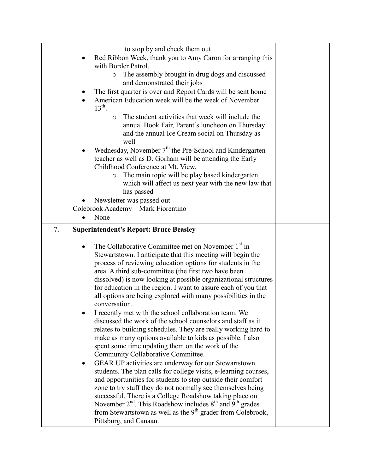|    | to stop by and check them out                                                                                                            |  |
|----|------------------------------------------------------------------------------------------------------------------------------------------|--|
|    | Red Ribbon Week, thank you to Amy Caron for arranging this                                                                               |  |
|    | with Border Patrol.                                                                                                                      |  |
|    | The assembly brought in drug dogs and discussed<br>$\circ$<br>and demonstrated their jobs                                                |  |
|    | The first quarter is over and Report Cards will be sent home                                                                             |  |
|    | American Education week will be the week of November                                                                                     |  |
|    | $13^{\text{th}}$ .                                                                                                                       |  |
|    | The student activities that week will include the<br>$\circ$                                                                             |  |
|    | annual Book Fair, Parent's luncheon on Thursday                                                                                          |  |
|    | and the annual Ice Cream social on Thursday as                                                                                           |  |
|    | well                                                                                                                                     |  |
|    | Wednesday, November 7 <sup>th</sup> the Pre-School and Kindergarten                                                                      |  |
|    | teacher as well as D. Gorham will be attending the Early<br>Childhood Conference at Mt. View.                                            |  |
|    | The main topic will be play based kindergarten<br>$\circ$                                                                                |  |
|    | which will affect us next year with the new law that                                                                                     |  |
|    | has passed                                                                                                                               |  |
|    | Newsletter was passed out                                                                                                                |  |
|    | Colebrook Academy - Mark Fiorentino                                                                                                      |  |
|    | None                                                                                                                                     |  |
| 7. | <b>Superintendent's Report: Bruce Beasley</b>                                                                                            |  |
|    |                                                                                                                                          |  |
|    | The Collaborative Committee met on November 1 <sup>st</sup> in<br>Stewartstown. I anticipate that this meeting will begin the            |  |
|    | process of reviewing education options for students in the                                                                               |  |
|    | area. A third sub-committee (the first two have been                                                                                     |  |
|    | dissolved) is now looking at possible organizational structures                                                                          |  |
|    | for education in the region. I want to assure each of you that                                                                           |  |
|    | all options are being explored with many possibilities in the                                                                            |  |
|    | conversation.                                                                                                                            |  |
|    | I recently met with the school collaboration team. We                                                                                    |  |
|    |                                                                                                                                          |  |
|    | discussed the work of the school counselors and staff as it                                                                              |  |
|    | relates to building schedules. They are really working hard to                                                                           |  |
|    | make as many options available to kids as possible. I also                                                                               |  |
|    | spent some time updating them on the work of the<br>Community Collaborative Committee.                                                   |  |
|    | GEAR UP activities are underway for our Stewartstown                                                                                     |  |
|    | students. The plan calls for college visits, e-learning courses,                                                                         |  |
|    | and opportunities for students to step outside their comfort                                                                             |  |
|    | zone to try stuff they do not normally see themselves being                                                                              |  |
|    | successful. There is a College Roadshow taking place on                                                                                  |  |
|    | November $2^{nd}$ . This Roadshow includes $8^{th}$ and $9^{th}$ grades<br>from Stewartstown as well as the $9th$ grader from Colebrook, |  |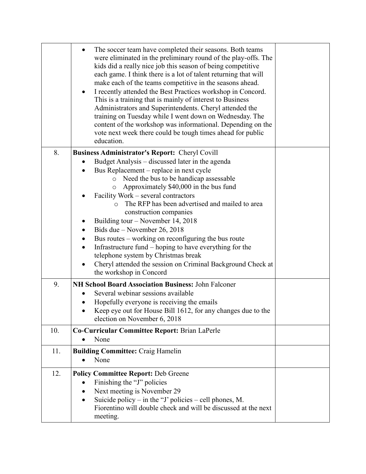|     | The soccer team have completed their seasons. Both teams<br>$\bullet$<br>were eliminated in the preliminary round of the play-offs. The<br>kids did a really nice job this season of being competitive<br>each game. I think there is a lot of talent returning that will<br>make each of the teams competitive in the seasons ahead.<br>I recently attended the Best Practices workshop in Concord.<br>This is a training that is mainly of interest to Business<br>Administrators and Superintendents. Cheryl attended the<br>training on Tuesday while I went down on Wednesday. The<br>content of the workshop was informational. Depending on the<br>vote next week there could be tough times ahead for public<br>education. |  |
|-----|------------------------------------------------------------------------------------------------------------------------------------------------------------------------------------------------------------------------------------------------------------------------------------------------------------------------------------------------------------------------------------------------------------------------------------------------------------------------------------------------------------------------------------------------------------------------------------------------------------------------------------------------------------------------------------------------------------------------------------|--|
| 8.  | <b>Business Administrator's Report: Cheryl Covill</b>                                                                                                                                                                                                                                                                                                                                                                                                                                                                                                                                                                                                                                                                              |  |
|     | Budget Analysis – discussed later in the agenda                                                                                                                                                                                                                                                                                                                                                                                                                                                                                                                                                                                                                                                                                    |  |
|     | Bus Replacement – replace in next cycle                                                                                                                                                                                                                                                                                                                                                                                                                                                                                                                                                                                                                                                                                            |  |
|     | Need the bus to be handicap assessable<br>$\circ$<br>Approximately \$40,000 in the bus fund<br>O                                                                                                                                                                                                                                                                                                                                                                                                                                                                                                                                                                                                                                   |  |
|     | Facility Work – several contractors                                                                                                                                                                                                                                                                                                                                                                                                                                                                                                                                                                                                                                                                                                |  |
|     | The RFP has been advertised and mailed to area                                                                                                                                                                                                                                                                                                                                                                                                                                                                                                                                                                                                                                                                                     |  |
|     | construction companies                                                                                                                                                                                                                                                                                                                                                                                                                                                                                                                                                                                                                                                                                                             |  |
|     | Building tour – November 14, 2018                                                                                                                                                                                                                                                                                                                                                                                                                                                                                                                                                                                                                                                                                                  |  |
|     | Bids due – November 26, 2018                                                                                                                                                                                                                                                                                                                                                                                                                                                                                                                                                                                                                                                                                                       |  |
|     | Bus routes – working on reconfiguring the bus route<br>Infrastructure fund – hoping to have everything for the                                                                                                                                                                                                                                                                                                                                                                                                                                                                                                                                                                                                                     |  |
|     | telephone system by Christmas break                                                                                                                                                                                                                                                                                                                                                                                                                                                                                                                                                                                                                                                                                                |  |
|     | Cheryl attended the session on Criminal Background Check at                                                                                                                                                                                                                                                                                                                                                                                                                                                                                                                                                                                                                                                                        |  |
|     | the workshop in Concord                                                                                                                                                                                                                                                                                                                                                                                                                                                                                                                                                                                                                                                                                                            |  |
| 9.  | NH School Board Association Business: John Falconer                                                                                                                                                                                                                                                                                                                                                                                                                                                                                                                                                                                                                                                                                |  |
|     | Several webinar sessions available                                                                                                                                                                                                                                                                                                                                                                                                                                                                                                                                                                                                                                                                                                 |  |
|     | Hopefully everyone is receiving the emails                                                                                                                                                                                                                                                                                                                                                                                                                                                                                                                                                                                                                                                                                         |  |
|     | Keep eye out for House Bill 1612, for any changes due to the<br>election on November 6, 2018                                                                                                                                                                                                                                                                                                                                                                                                                                                                                                                                                                                                                                       |  |
| 10. | Co-Curricular Committee Report: Brian LaPerle                                                                                                                                                                                                                                                                                                                                                                                                                                                                                                                                                                                                                                                                                      |  |
|     | None                                                                                                                                                                                                                                                                                                                                                                                                                                                                                                                                                                                                                                                                                                                               |  |
| 11. | <b>Building Committee: Craig Hamelin</b>                                                                                                                                                                                                                                                                                                                                                                                                                                                                                                                                                                                                                                                                                           |  |
|     | None                                                                                                                                                                                                                                                                                                                                                                                                                                                                                                                                                                                                                                                                                                                               |  |
| 12. | <b>Policy Committee Report: Deb Greene</b>                                                                                                                                                                                                                                                                                                                                                                                                                                                                                                                                                                                                                                                                                         |  |
|     | Finishing the "J" policies                                                                                                                                                                                                                                                                                                                                                                                                                                                                                                                                                                                                                                                                                                         |  |
|     | Next meeting is November 29                                                                                                                                                                                                                                                                                                                                                                                                                                                                                                                                                                                                                                                                                                        |  |
|     | Suicide policy – in the "J' policies – cell phones, M.<br>٠                                                                                                                                                                                                                                                                                                                                                                                                                                                                                                                                                                                                                                                                        |  |
|     | Fiorentino will double check and will be discussed at the next<br>meeting.                                                                                                                                                                                                                                                                                                                                                                                                                                                                                                                                                                                                                                                         |  |
|     |                                                                                                                                                                                                                                                                                                                                                                                                                                                                                                                                                                                                                                                                                                                                    |  |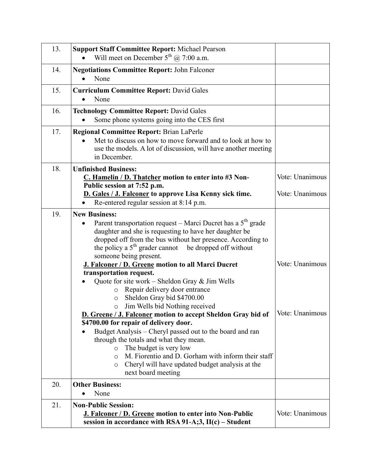| 13. | <b>Support Staff Committee Report: Michael Pearson</b><br>Will meet on December $5^{th}$ ( $\hat{\omega}$ ) 7:00 a.m.                                                                                                                                                                                                                                                                                                                                                                                                                                                                         |                                    |
|-----|-----------------------------------------------------------------------------------------------------------------------------------------------------------------------------------------------------------------------------------------------------------------------------------------------------------------------------------------------------------------------------------------------------------------------------------------------------------------------------------------------------------------------------------------------------------------------------------------------|------------------------------------|
| 14. | <b>Negotiations Committee Report: John Falconer</b><br>None                                                                                                                                                                                                                                                                                                                                                                                                                                                                                                                                   |                                    |
| 15. | <b>Curriculum Committee Report: David Gales</b><br>None                                                                                                                                                                                                                                                                                                                                                                                                                                                                                                                                       |                                    |
| 16. | <b>Technology Committee Report: David Gales</b><br>Some phone systems going into the CES first                                                                                                                                                                                                                                                                                                                                                                                                                                                                                                |                                    |
| 17. | <b>Regional Committee Report: Brian LaPerle</b><br>Met to discuss on how to move forward and to look at how to<br>use the models. A lot of discussion, will have another meeting<br>in December.                                                                                                                                                                                                                                                                                                                                                                                              |                                    |
| 18. | <b>Unfinished Business:</b><br>C. Hamelin / D. Thatcher motion to enter into #3 Non-<br>Public session at 7:52 p.m.<br>D. Gales / J. Falconer to approve Lisa Kenny sick time.<br>Re-entered regular session at 8:14 p.m.                                                                                                                                                                                                                                                                                                                                                                     | Vote: Unanimous<br>Vote: Unanimous |
| 19. | <b>New Business:</b><br>Parent transportation request – Marci Ducret has a 5 <sup>th</sup> grade<br>daughter and she is requesting to have her daughter be<br>dropped off from the bus without her presence. According to<br>the policy a $5th$ grader cannot<br>be dropped off without<br>someone being present.<br>J. Falconer / D. Greene motion to all Marci Ducret<br>transportation request.                                                                                                                                                                                            | Vote: Unanimous                    |
|     | Quote for site work – Sheldon Gray $\&$ Jim Wells<br>Repair delivery door entrance<br>$\circ$<br>Sheldon Gray bid \$4700.00<br>$\circ$<br>Jim Wells bid Nothing received<br>$\circ$<br>D. Greene / J. Falconer motion to accept Sheldon Gray bid of<br>\$4700.00 for repair of delivery door.<br>Budget Analysis – Cheryl passed out to the board and ran<br>through the totals and what they mean.<br>The budget is very low<br>$\circ$<br>M. Fiorentio and D. Gorham with inform their staff<br>$\circ$<br>Cheryl will have updated budget analysis at the<br>$\circ$<br>next board meeting | Vote: Unanimous                    |
| 20. | <b>Other Business:</b>                                                                                                                                                                                                                                                                                                                                                                                                                                                                                                                                                                        |                                    |
| 21. | None<br><b>Non-Public Session:</b><br><b>J. Falconer / D. Greene motion to enter into Non-Public</b><br>session in accordance with RSA 91-A;3, $II(c)$ – Student                                                                                                                                                                                                                                                                                                                                                                                                                              | Vote: Unanimous                    |